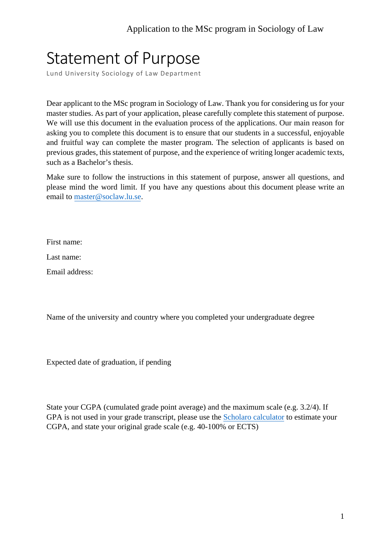## Statement of Purpose

Lund University Sociology of Law Department

Dear applicant to the MSc program in Sociology of Law. Thank you for considering us for your master studies. As part of your application, please carefully complete this statement of purpose. We will use this document in the evaluation process of the applications. Our main reason for asking you to complete this document is to ensure that our students in a successful, enjoyable and fruitful way can complete the master program. The selection of applicants is based on previous grades, this statement of purpose, and the experience of writing longer academic texts, such as a Bachelor's thesis.

Make sure to follow the instructions in this statement of purpose, answer all questions, and please mind the word limit. If you have any questions about this document please write an email to master@soclaw.lu.se.

First name:

Last name:

Email address:

Name of the university and country where you completed your undergraduate degree

Expected date of graduation, if pending

State your CGPA (cumulated grade point average) and the maximum scale (e.g. 3.2/4). If GPA is not used in your grade transcript, please use the Scholaro [calculator](https://www.scholaro.com/gpa-calculator/) to estimate your CGPA, and state your original grade scale (e.g. 40-100% or ECTS)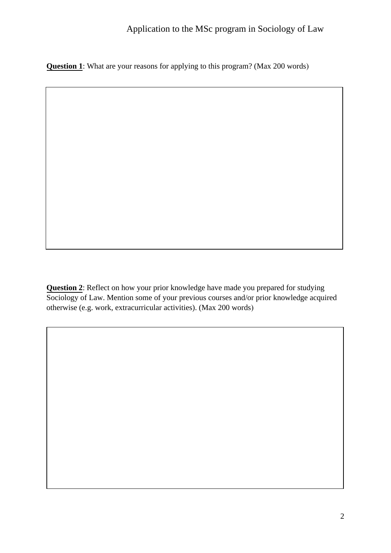**Question 1**: What are your reasons for applying to this program? (Max 200 words)

**Question 2**: Reflect on how your prior knowledge have made you prepared for studying Sociology of Law. Mention some of your previous courses and/or prior knowledge acquired otherwise (e.g. work, extracurricular activities). (Max 200 words)